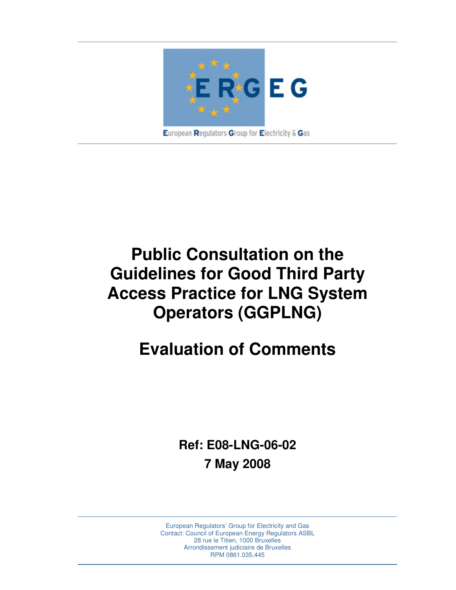

# **Public Consultation on the Guidelines for Good Third Party Access Practice for LNG System Operators (GGPLNG)**

# **Evaluation of Comments**

**Ref: E08-LNG-06-02 7 May 2008** 

European Regulators' Group for Electricity and Gas Contact: Council of European Energy Regulators ASBL 28 rue le Titien, 1000 Bruxelles Arrondissement judiciaire de Bruxelles RPM 0861.035.445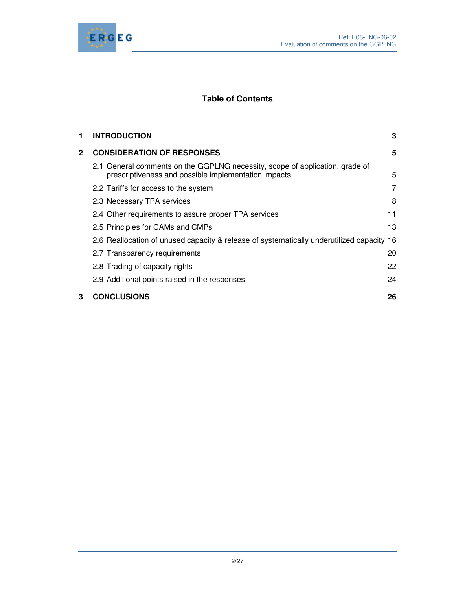

# **Table of Contents**

| 1 | <b>INTRODUCTION</b>                                                                                                                  | 3  |
|---|--------------------------------------------------------------------------------------------------------------------------------------|----|
| 2 | <b>CONSIDERATION OF RESPONSES</b>                                                                                                    | 5  |
|   | 2.1 General comments on the GGPLNG necessity, scope of application, grade of<br>prescriptiveness and possible implementation impacts | 5  |
|   | 2.2 Tariffs for access to the system                                                                                                 | 7  |
|   | 2.3 Necessary TPA services                                                                                                           | 8  |
|   | 2.4 Other requirements to assure proper TPA services                                                                                 | 11 |
|   | 2.5 Principles for CAMs and CMPs                                                                                                     | 13 |
|   | 2.6 Reallocation of unused capacity & release of systematically underutilized capacity 16                                            |    |
|   | 2.7 Transparency requirements                                                                                                        | 20 |
|   | 2.8 Trading of capacity rights                                                                                                       | 22 |
|   | 2.9 Additional points raised in the responses                                                                                        | 24 |
| 3 | <b>CONCLUSIONS</b>                                                                                                                   | 26 |
|   |                                                                                                                                      |    |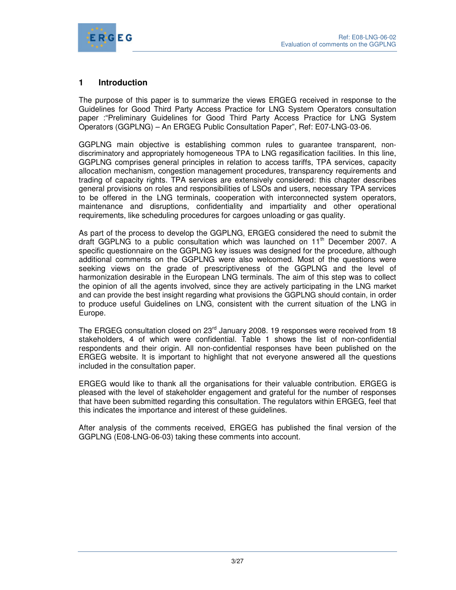

# **1 Introduction**

The purpose of this paper is to summarize the views ERGEG received in response to the Guidelines for Good Third Party Access Practice for LNG System Operators consultation paper :"Preliminary Guidelines for Good Third Party Access Practice for LNG System Operators (GGPLNG) – An ERGEG Public Consultation Paper", Ref: E07-LNG-03-06.

GGPLNG main objective is establishing common rules to guarantee transparent, nondiscriminatory and appropriately homogeneous TPA to LNG regasification facilities. In this line, GGPLNG comprises general principles in relation to access tariffs, TPA services, capacity allocation mechanism, congestion management procedures, transparency requirements and trading of capacity rights. TPA services are extensively considered: this chapter describes general provisions on roles and responsibilities of LSOs and users, necessary TPA services to be offered in the LNG terminals, cooperation with interconnected system operators, maintenance and disruptions, confidentiality and impartiality and other operational requirements, like scheduling procedures for cargoes unloading or gas quality.

As part of the process to develop the GGPLNG, ERGEG considered the need to submit the draft GGPLNG to a public consultation which was launched on  $11<sup>th</sup>$  December 2007. A specific questionnaire on the GGPLNG key issues was designed for the procedure, although additional comments on the GGPLNG were also welcomed. Most of the questions were seeking views on the grade of prescriptiveness of the GGPLNG and the level of harmonization desirable in the European LNG terminals. The aim of this step was to collect the opinion of all the agents involved, since they are actively participating in the LNG market and can provide the best insight regarding what provisions the GGPLNG should contain, in order to produce useful Guidelines on LNG, consistent with the current situation of the LNG in Europe.

The ERGEG consultation closed on 23<sup>rd</sup> January 2008. 19 responses were received from 18 stakeholders, 4 of which were confidential. Table 1 shows the list of non-confidential respondents and their origin. All non-confidential responses have been published on the ERGEG website. It is important to highlight that not everyone answered all the questions included in the consultation paper.

ERGEG would like to thank all the organisations for their valuable contribution. ERGEG is pleased with the level of stakeholder engagement and grateful for the number of responses that have been submitted regarding this consultation. The regulators within ERGEG, feel that this indicates the importance and interest of these guidelines.

After analysis of the comments received, ERGEG has published the final version of the GGPLNG (E08-LNG-06-03) taking these comments into account.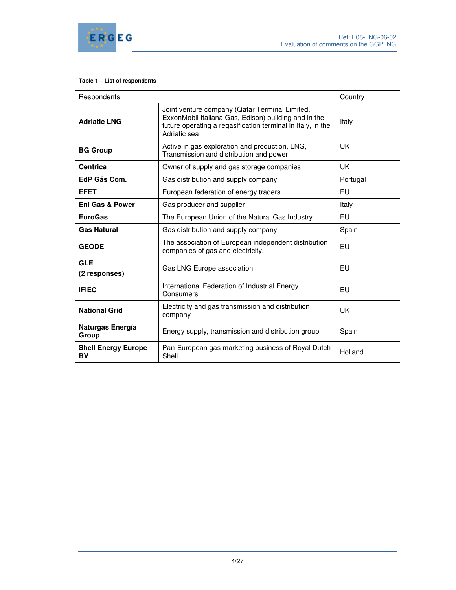

#### **Table 1 – List of respondents**

| Respondents                             |                                                                                                                                                                                       | Country   |
|-----------------------------------------|---------------------------------------------------------------------------------------------------------------------------------------------------------------------------------------|-----------|
| <b>Adriatic LNG</b>                     | Joint venture company (Qatar Terminal Limited,<br>ExxonMobil Italiana Gas, Edison) building and in the<br>future operating a regasification terminal in Italy, in the<br>Adriatic sea | Italy     |
| <b>BG Group</b>                         | Active in gas exploration and production, LNG,<br>Transmission and distribution and power                                                                                             | <b>UK</b> |
| <b>Centrica</b>                         | Owner of supply and gas storage companies                                                                                                                                             | UK        |
| EdP Gás Com.                            | Gas distribution and supply company                                                                                                                                                   | Portugal  |
| <b>EFET</b>                             | European federation of energy traders                                                                                                                                                 | EU        |
| <b>Eni Gas &amp; Power</b>              | Gas producer and supplier                                                                                                                                                             | Italy     |
| <b>EuroGas</b>                          | The European Union of the Natural Gas Industry                                                                                                                                        | EU        |
| <b>Gas Natural</b>                      | Gas distribution and supply company                                                                                                                                                   | Spain     |
| <b>GEODE</b>                            | The association of European independent distribution<br>companies of gas and electricity.                                                                                             | EU        |
| <b>GLE</b><br>(2 responses)             | Gas LNG Europe association                                                                                                                                                            | EU        |
| <b>IFIEC</b>                            | International Federation of Industrial Energy<br>Consumers                                                                                                                            | EU        |
| <b>National Grid</b>                    | Electricity and gas transmission and distribution<br>company                                                                                                                          | UK        |
| Naturgas Energía<br>Group               | Energy supply, transmission and distribution group                                                                                                                                    | Spain     |
| <b>Shell Energy Europe</b><br><b>BV</b> | Pan-European gas marketing business of Royal Dutch<br>Shell                                                                                                                           | Holland   |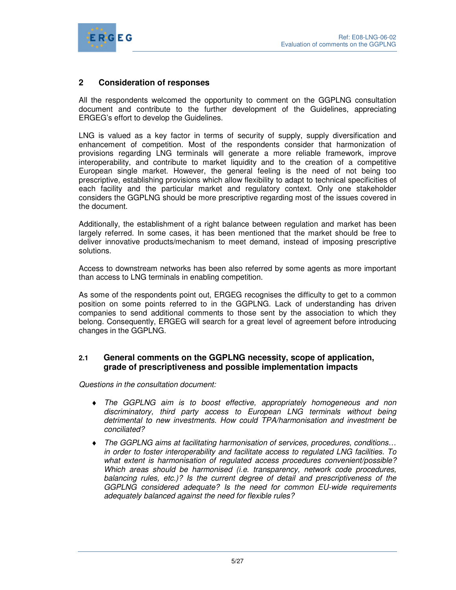

# **2 Consideration of responses**

All the respondents welcomed the opportunity to comment on the GGPLNG consultation document and contribute to the further development of the Guidelines, appreciating ERGEG's effort to develop the Guidelines.

LNG is valued as a key factor in terms of security of supply, supply diversification and enhancement of competition. Most of the respondents consider that harmonization of provisions regarding LNG terminals will generate a more reliable framework, improve interoperability, and contribute to market liquidity and to the creation of a competitive European single market. However, the general feeling is the need of not being too prescriptive, establishing provisions which allow flexibility to adapt to technical specificities of each facility and the particular market and regulatory context. Only one stakeholder considers the GGPLNG should be more prescriptive regarding most of the issues covered in the document.

Additionally, the establishment of a right balance between regulation and market has been largely referred. In some cases, it has been mentioned that the market should be free to deliver innovative products/mechanism to meet demand, instead of imposing prescriptive solutions.

Access to downstream networks has been also referred by some agents as more important than access to LNG terminals in enabling competition.

As some of the respondents point out, ERGEG recognises the difficulty to get to a common position on some points referred to in the GGPLNG. Lack of understanding has driven companies to send additional comments to those sent by the association to which they belong. Consequently, ERGEG will search for a great level of agreement before introducing changes in the GGPLNG.

## **2.1 General comments on the GGPLNG necessity, scope of application, grade of prescriptiveness and possible implementation impacts**

Questions in the consultation document:

- ♦ The GGPLNG aim is to boost effective, appropriately homogeneous and non discriminatory, third party access to European LNG terminals without being detrimental to new investments. How could TPA/harmonisation and investment be conciliated?
- ♦ The GGPLNG aims at facilitating harmonisation of services, procedures, conditions… in order to foster interoperability and facilitate access to regulated LNG facilities. To what extent is harmonisation of regulated access procedures convenient/possible? Which areas should be harmonised *(i.e. transparency, network code procedures,* balancing rules, etc.)? Is the current degree of detail and prescriptiveness of the GGPLNG considered adequate? Is the need for common EU-wide requirements adequately balanced against the need for flexible rules?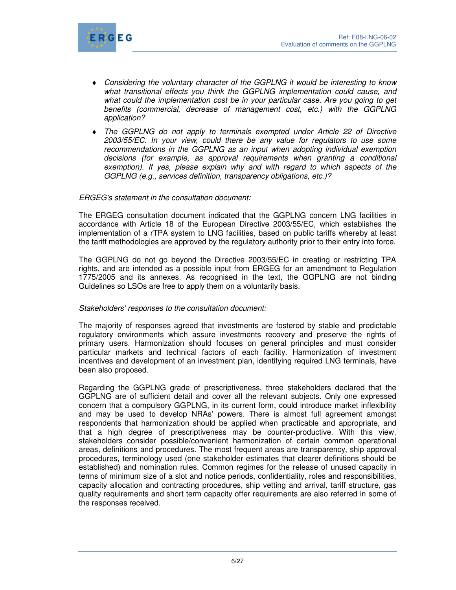

- ♦ Considering the voluntary character of the GGPLNG it would be interesting to know what transitional effects you think the GGPLNG implementation could cause, and what could the implementation cost be in your particular case. Are you going to get benefits (commercial, decrease of management cost, etc.) with the GGPLNG application?
- ♦ The GGPLNG do not apply to terminals exempted under Article 22 of Directive 2003/55/EC. In your view, could there be any value for regulators to use some recommendations in the GGPLNG as an input when adopting individual exemption decisions (for example, as approval requirements when granting a conditional exemption). If yes, please explain why and with regard to which aspects of the GGPLNG (e.g., services definition, transparency obligations, etc.)?

#### ERGEG's statement in the consultation document:

The ERGEG consultation document indicated that the GGPLNG concern LNG facilities in accordance with Article 18 of the European Directive 2003/55/EC, which establishes the implementation of a rTPA system to LNG facilities, based on public tariffs whereby at least the tariff methodologies are approved by the regulatory authority prior to their entry into force.

The GGPLNG do not go beyond the Directive 2003/55/EC in creating or restricting TPA rights, and are intended as a possible input from ERGEG for an amendment to Regulation 1775/2005 and its annexes. As recognised in the text, the GGPLNG are not binding Guidelines so LSOs are free to apply them on a voluntarily basis.

## Stakeholders' responses to the consultation document:

The majority of responses agreed that investments are fostered by stable and predictable regulatory environments which assure investments recovery and preserve the rights of primary users. Harmonization should focuses on general principles and must consider particular markets and technical factors of each facility. Harmonization of investment incentives and development of an investment plan, identifying required LNG terminals, have been also proposed.

Regarding the GGPLNG grade of prescriptiveness, three stakeholders declared that the GGPLNG are of sufficient detail and cover all the relevant subjects. Only one expressed concern that a compulsory GGPLNG, in its current form, could introduce market inflexibility and may be used to develop NRAs' powers. There is almost full agreement amongst respondents that harmonization should be applied when practicable and appropriate, and that a high degree of prescriptiveness may be counter-productive. With this view, stakeholders consider possible/convenient harmonization of certain common operational areas, definitions and procedures. The most frequent areas are transparency, ship approval procedures, terminology used (one stakeholder estimates that clearer definitions should be established) and nomination rules. Common regimes for the release of unused capacity in terms of minimum size of a slot and notice periods, confidentiality, roles and responsibilities, capacity allocation and contracting procedures, ship vetting and arrival, tariff structure, gas quality requirements and short term capacity offer requirements are also referred in some of the responses received.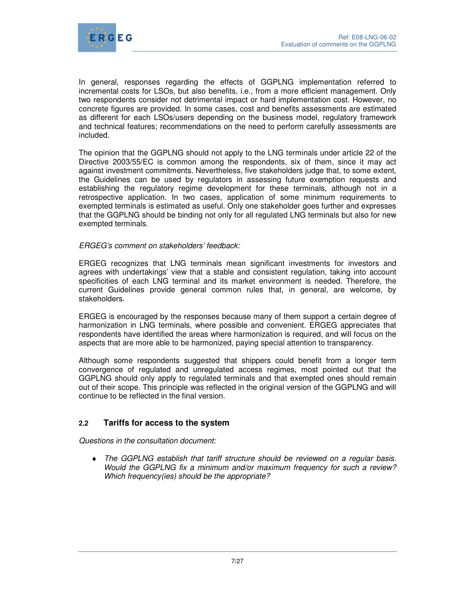

In general, responses regarding the effects of GGPLNG implementation referred to incremental costs for LSOs, but also benefits, i.e., from a more efficient management. Only two respondents consider not detrimental impact or hard implementation cost. However, no concrete figures are provided. In some cases, cost and benefits assessments are estimated as different for each LSOs/users depending on the business model, regulatory framework and technical features; recommendations on the need to perform carefully assessments are included.

The opinion that the GGPLNG should not apply to the LNG terminals under article 22 of the Directive 2003/55/EC is common among the respondents, six of them, since it may act against investment commitments. Nevertheless, five stakeholders judge that, to some extent, the Guidelines can be used by regulators in assessing future exemption requests and establishing the regulatory regime development for these terminals, although not in a retrospective application. In two cases, application of some minimum requirements to exempted terminals is estimated as useful. Only one stakeholder goes further and expresses that the GGPLNG should be binding not only for all regulated LNG terminals but also for new exempted terminals.

## ERGEG's comment on stakeholders' feedback:

ERGEG recognizes that LNG terminals mean significant investments for investors and agrees with undertakings' view that a stable and consistent regulation, taking into account specificities of each LNG terminal and its market environment is needed. Therefore, the current Guidelines provide general common rules that, in general, are welcome, by stakeholders.

ERGEG is encouraged by the responses because many of them support a certain degree of harmonization in LNG terminals, where possible and convenient. ERGEG appreciates that respondents have identified the areas where harmonization is required, and will focus on the aspects that are more able to be harmonized, paying special attention to transparency.

Although some respondents suggested that shippers could benefit from a longer term convergence of regulated and unregulated access regimes, most pointed out that the GGPLNG should only apply to regulated terminals and that exempted ones should remain out of their scope. This principle was reflected in the original version of the GGPLNG and will continue to be reflected in the final version.

# **2.2 Tariffs for access to the system**

Questions in the consultation document:

♦ The GGPLNG establish that tariff structure should be reviewed on a regular basis. Would the GGPLNG fix a minimum and/or maximum frequency for such a review? Which frequency(ies) should be the appropriate?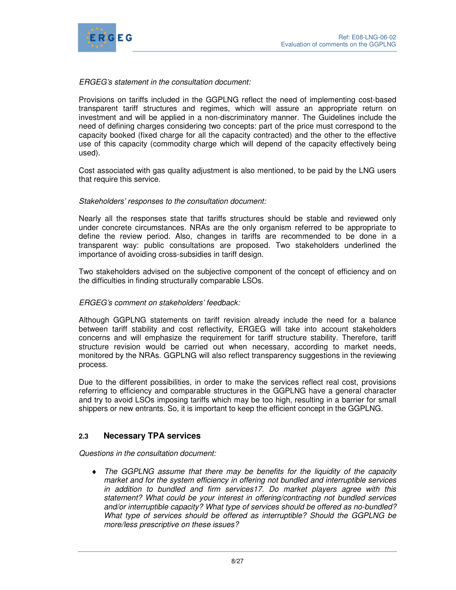

## ERGEG's statement in the consultation document:

Provisions on tariffs included in the GGPLNG reflect the need of implementing cost-based transparent tariff structures and regimes, which will assure an appropriate return on investment and will be applied in a non-discriminatory manner. The Guidelines include the need of defining charges considering two concepts: part of the price must correspond to the capacity booked (fixed charge for all the capacity contracted) and the other to the effective use of this capacity (commodity charge which will depend of the capacity effectively being used).

Cost associated with gas quality adjustment is also mentioned, to be paid by the LNG users that require this service.

## Stakeholders' responses to the consultation document:

Nearly all the responses state that tariffs structures should be stable and reviewed only under concrete circumstances. NRAs are the only organism referred to be appropriate to define the review period. Also, changes in tariffs are recommended to be done in a transparent way: public consultations are proposed. Two stakeholders underlined the importance of avoiding cross-subsidies in tariff design.

Two stakeholders advised on the subjective component of the concept of efficiency and on the difficulties in finding structurally comparable LSOs.

#### ERGEG's comment on stakeholders' feedback:

Although GGPLNG statements on tariff revision already include the need for a balance between tariff stability and cost reflectivity, ERGEG will take into account stakeholders concerns and will emphasize the requirement for tariff structure stability. Therefore, tariff structure revision would be carried out when necessary, according to market needs, monitored by the NRAs. GGPLNG will also reflect transparency suggestions in the reviewing process.

Due to the different possibilities, in order to make the services reflect real cost, provisions referring to efficiency and comparable structures in the GGPLNG have a general character and try to avoid LSOs imposing tariffs which may be too high, resulting in a barrier for small shippers or new entrants. So, it is important to keep the efficient concept in the GGPLNG.

## **2.3 Necessary TPA services**

Questions in the consultation document:

♦ The GGPLNG assume that there may be benefits for the liquidity of the capacity market and for the system efficiency in offering not bundled and interruptible services in addition to bundled and firm services17. Do market players agree with this statement? What could be your interest in offering/contracting not bundled services and/or interruptible capacity? What type of services should be offered as no-bundled? What type of services should be offered as interruptible? Should the GGPLNG be more/less prescriptive on these issues?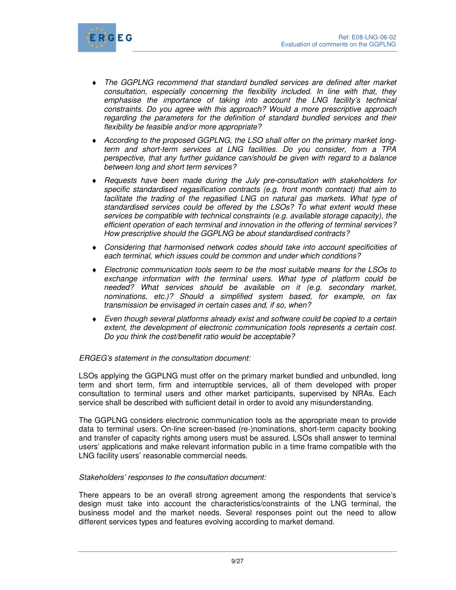

- ♦ The GGPLNG recommend that standard bundled services are defined after market consultation, especially concerning the flexibility included. In line with that, they emphasise the importance of taking into account the LNG facility's technical constraints. Do you agree with this approach? Would a more prescriptive approach regarding the parameters for the definition of standard bundled services and their flexibility be feasible and/or more appropriate?
- ♦ According to the proposed GGPLNG, the LSO shall offer on the primary market longterm and short-term services at LNG facilities. Do you consider, from a TPA perspective, that any further guidance can/should be given with regard to a balance between long and short term services?
- ♦ Requests have been made during the July pre-consultation with stakeholders for specific standardised regasification contracts (e.g. front month contract) that aim to facilitate the trading of the regasified LNG on natural gas markets. What type of standardised services could be offered by the LSOs? To what extent would these services be compatible with technical constraints (e.g. available storage capacity), the efficient operation of each terminal and innovation in the offering of terminal services? How prescriptive should the GGPLNG be about standardised contracts?
- ♦ Considering that harmonised network codes should take into account specificities of each terminal, which issues could be common and under which conditions?
- ♦ Electronic communication tools seem to be the most suitable means for the LSOs to exchange information with the terminal users. What type of platform could be needed? What services should be available on it (e.g. secondary market, nominations, etc.)? Should a simplified system based, for example, on fax transmission be envisaged in certain cases and, if so, when?
- ♦ Even though several platforms already exist and software could be copied to a certain extent, the development of electronic communication tools represents a certain cost. Do you think the cost/benefit ratio would be acceptable?

## ERGEG's statement in the consultation document:

LSOs applying the GGPLNG must offer on the primary market bundled and unbundled, long term and short term, firm and interruptible services, all of them developed with proper consultation to terminal users and other market participants, supervised by NRAs. Each service shall be described with sufficient detail in order to avoid any misunderstanding.

The GGPLNG considers electronic communication tools as the appropriate mean to provide data to terminal users. On-line screen-based (re-)nominations, short-term capacity booking and transfer of capacity rights among users must be assured. LSOs shall answer to terminal users' applications and make relevant information public in a time frame compatible with the LNG facility users' reasonable commercial needs.

#### Stakeholders' responses to the consultation document:

There appears to be an overall strong agreement among the respondents that service's design must take into account the characteristics/constraints of the LNG terminal, the business model and the market needs. Several responses point out the need to allow different services types and features evolving according to market demand.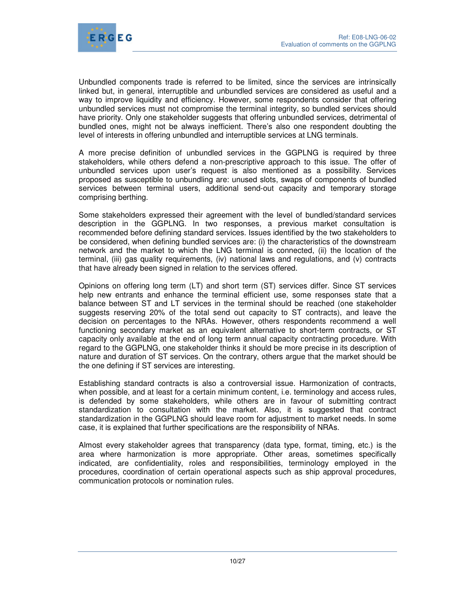

Unbundled components trade is referred to be limited, since the services are intrinsically linked but, in general, interruptible and unbundled services are considered as useful and a way to improve liquidity and efficiency. However, some respondents consider that offering unbundled services must not compromise the terminal integrity, so bundled services should have priority. Only one stakeholder suggests that offering unbundled services, detrimental of bundled ones, might not be always inefficient. There's also one respondent doubting the level of interests in offering unbundled and interruptible services at LNG terminals.

A more precise definition of unbundled services in the GGPLNG is required by three stakeholders, while others defend a non-prescriptive approach to this issue. The offer of unbundled services upon user's request is also mentioned as a possibility. Services proposed as susceptible to unbundling are: unused slots, swaps of components of bundled services between terminal users, additional send-out capacity and temporary storage comprising berthing.

Some stakeholders expressed their agreement with the level of bundled/standard services description in the GGPLNG. In two responses, a previous market consultation is recommended before defining standard services. Issues identified by the two stakeholders to be considered, when defining bundled services are: (i) the characteristics of the downstream network and the market to which the LNG terminal is connected, (ii) the location of the terminal, (iii) gas quality requirements, (iv) national laws and regulations, and (v) contracts that have already been signed in relation to the services offered.

Opinions on offering long term (LT) and short term (ST) services differ. Since ST services help new entrants and enhance the terminal efficient use, some responses state that a balance between ST and LT services in the terminal should be reached (one stakeholder suggests reserving 20% of the total send out capacity to ST contracts), and leave the decision on percentages to the NRAs. However, others respondents recommend a well functioning secondary market as an equivalent alternative to short-term contracts, or ST capacity only available at the end of long term annual capacity contracting procedure. With regard to the GGPLNG, one stakeholder thinks it should be more precise in its description of nature and duration of ST services. On the contrary, others argue that the market should be the one defining if ST services are interesting.

Establishing standard contracts is also a controversial issue. Harmonization of contracts, when possible, and at least for a certain minimum content, i.e. terminology and access rules, is defended by some stakeholders, while others are in favour of submitting contract standardization to consultation with the market. Also, it is suggested that contract standardization in the GGPLNG should leave room for adjustment to market needs. In some case, it is explained that further specifications are the responsibility of NRAs.

Almost every stakeholder agrees that transparency (data type, format, timing, etc.) is the area where harmonization is more appropriate. Other areas, sometimes specifically indicated, are confidentiality, roles and responsibilities, terminology employed in the procedures, coordination of certain operational aspects such as ship approval procedures, communication protocols or nomination rules.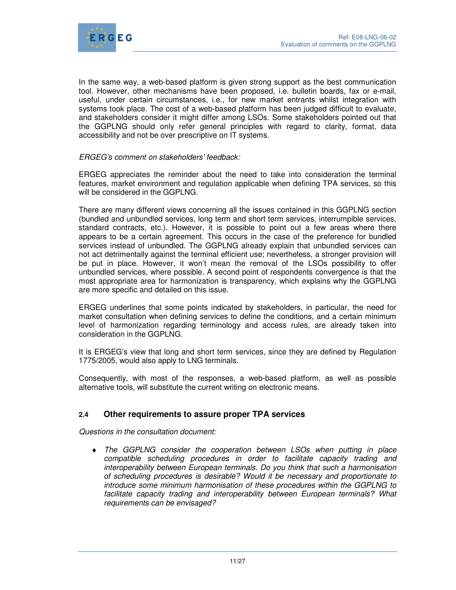

In the same way, a web-based platform is given strong support as the best communication tool. However, other mechanisms have been proposed, i.e. bulletin boards, fax or e-mail, useful, under certain circumstances, i.e., for new market entrants whilst integration with systems took place. The cost of a web-based platform has been judged difficult to evaluate, and stakeholders consider it might differ among LSOs. Some stakeholders pointed out that the GGPLNG should only refer general principles with regard to clarity, format, data accessibility and not be over prescriptive on IT systems.

#### ERGEG's comment on stakeholders' feedback:

ERGEG appreciates the reminder about the need to take into consideration the terminal features, market environment and regulation applicable when defining TPA services, so this will be considered in the GGPLNG.

There are many different views concerning all the issues contained in this GGPLNG section (bundled and unbundled services, long term and short term services, interrumpible services, standard contracts, etc.). However, it is possible to point out a few areas where there appears to be a certain agreement. This occurs in the case of the preference for bundled services instead of unbundled. The GGPLNG already explain that unbundled services can not act detrimentally against the terminal efficient use; nevertheless, a stronger provision will be put in place. However, it won't mean the removal of the LSOs possibility to offer unbundled services, where possible. A second point of respondents convergence is that the most appropriate area for harmonization is transparency, which explains why the GGPLNG are more specific and detailed on this issue.

ERGEG underlines that some points indicated by stakeholders, in particular, the need for market consultation when defining services to define the conditions, and a certain minimum level of harmonization regarding terminology and access rules, are already taken into consideration in the GGPLNG.

It is ERGEG's view that long and short term services, since they are defined by Regulation 1775/2005, would also apply to LNG terminals.

Consequently, with most of the responses, a web-based platform, as well as possible alternative tools, will substitute the current writing on electronic means.

## **2.4 Other requirements to assure proper TPA services**

Questions in the consultation document:

♦ The GGPLNG consider the cooperation between LSOs when putting in place compatible scheduling procedures in order to facilitate capacity trading and interoperability between European terminals. Do you think that such a harmonisation of scheduling procedures is desirable? Would it be necessary and proportionate to introduce some minimum harmonisation of these procedures within the GGPLNG to facilitate capacity trading and interoperability between European terminals? What requirements can be envisaged?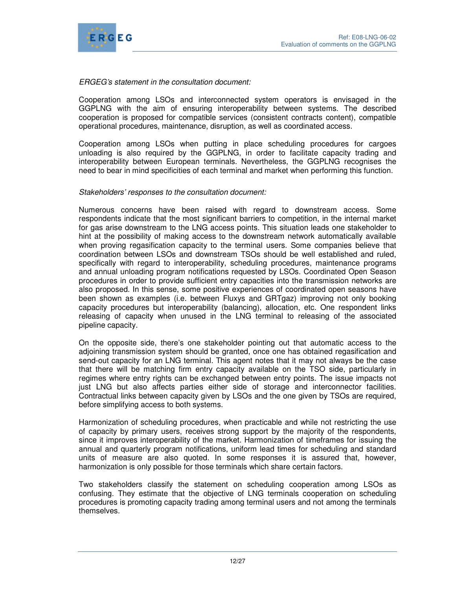

## ERGEG's statement in the consultation document:

Cooperation among LSOs and interconnected system operators is envisaged in the GGPLNG with the aim of ensuring interoperability between systems. The described cooperation is proposed for compatible services (consistent contracts content), compatible operational procedures, maintenance, disruption, as well as coordinated access.

Cooperation among LSOs when putting in place scheduling procedures for cargoes unloading is also required by the GGPLNG, in order to facilitate capacity trading and interoperability between European terminals. Nevertheless, the GGPLNG recognises the need to bear in mind specificities of each terminal and market when performing this function.

## Stakeholders' responses to the consultation document:

Numerous concerns have been raised with regard to downstream access. Some respondents indicate that the most significant barriers to competition, in the internal market for gas arise downstream to the LNG access points. This situation leads one stakeholder to hint at the possibility of making access to the downstream network automatically available when proving regasification capacity to the terminal users. Some companies believe that coordination between LSOs and downstream TSOs should be well established and ruled, specifically with regard to interoperability, scheduling procedures, maintenance programs and annual unloading program notifications requested by LSOs. Coordinated Open Season procedures in order to provide sufficient entry capacities into the transmission networks are also proposed. In this sense, some positive experiences of coordinated open seasons have been shown as examples (i.e. between Fluxys and GRTgaz) improving not only booking capacity procedures but interoperability (balancing), allocation, etc. One respondent links releasing of capacity when unused in the LNG terminal to releasing of the associated pipeline capacity.

On the opposite side, there's one stakeholder pointing out that automatic access to the adjoining transmission system should be granted, once one has obtained regasification and send-out capacity for an LNG terminal. This agent notes that it may not always be the case that there will be matching firm entry capacity available on the TSO side, particularly in regimes where entry rights can be exchanged between entry points. The issue impacts not just LNG but also affects parties either side of storage and interconnector facilities. Contractual links between capacity given by LSOs and the one given by TSOs are required, before simplifying access to both systems.

Harmonization of scheduling procedures, when practicable and while not restricting the use of capacity by primary users, receives strong support by the majority of the respondents, since it improves interoperability of the market. Harmonization of timeframes for issuing the annual and quarterly program notifications, uniform lead times for scheduling and standard units of measure are also quoted. In some responses it is assured that, however, harmonization is only possible for those terminals which share certain factors.

Two stakeholders classify the statement on scheduling cooperation among LSOs as confusing. They estimate that the objective of LNG terminals cooperation on scheduling procedures is promoting capacity trading among terminal users and not among the terminals themselves.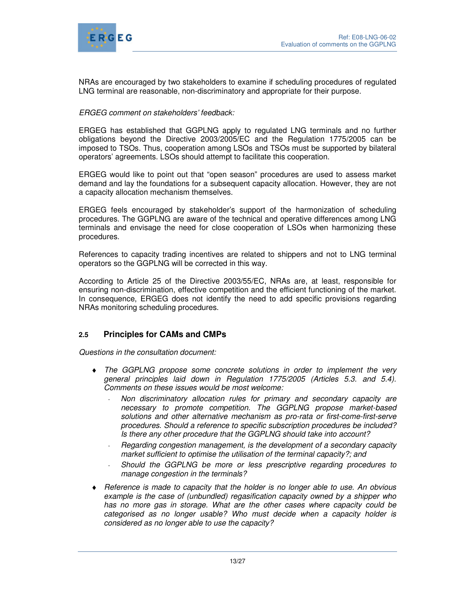

NRAs are encouraged by two stakeholders to examine if scheduling procedures of regulated LNG terminal are reasonable, non-discriminatory and appropriate for their purpose.

## ERGEG comment on stakeholders' feedback:

ERGEG has established that GGPLNG apply to regulated LNG terminals and no further obligations beyond the Directive 2003/2005/EC and the Regulation 1775/2005 can be imposed to TSOs. Thus, cooperation among LSOs and TSOs must be supported by bilateral operators' agreements. LSOs should attempt to facilitate this cooperation.

ERGEG would like to point out that "open season" procedures are used to assess market demand and lay the foundations for a subsequent capacity allocation. However, they are not a capacity allocation mechanism themselves.

ERGEG feels encouraged by stakeholder's support of the harmonization of scheduling procedures. The GGPLNG are aware of the technical and operative differences among LNG terminals and envisage the need for close cooperation of LSOs when harmonizing these procedures.

References to capacity trading incentives are related to shippers and not to LNG terminal operators so the GGPLNG will be corrected in this way.

According to Article 25 of the Directive 2003/55/EC, NRAs are, at least, responsible for ensuring non-discrimination, effective competition and the efficient functioning of the market. In consequence, ERGEG does not identify the need to add specific provisions regarding NRAs monitoring scheduling procedures.

# **2.5 Principles for CAMs and CMPs**

Questions in the consultation document:

- ♦ The GGPLNG propose some concrete solutions in order to implement the very general principles laid down in Regulation 1775/2005 (Articles 5.3. and 5.4). Comments on these issues would be most welcome:
	- Non discriminatory allocation rules for primary and secondary capacity are necessary to promote competition. The GGPLNG propose market-based solutions and other alternative mechanism as pro-rata or first-come-first-serve procedures. Should a reference to specific subscription procedures be included? Is there any other procedure that the GGPLNG should take into account?
	- Regarding congestion management, is the development of a secondary capacity market sufficient to optimise the utilisation of the terminal capacity?; and
	- Should the GGPLNG be more or less prescriptive regarding procedures to manage congestion in the terminals?
- ♦ Reference is made to capacity that the holder is no longer able to use. An obvious example is the case of (unbundled) regasification capacity owned by a shipper who has no more gas in storage. What are the other cases where capacity could be categorised as no longer usable? Who must decide when a capacity holder is considered as no longer able to use the capacity?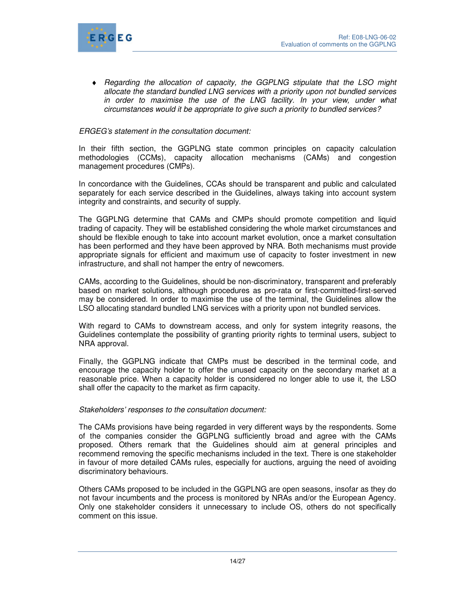

♦ Regarding the allocation of capacity, the GGPLNG stipulate that the LSO might allocate the standard bundled LNG services with a priority upon not bundled services in order to maximise the use of the LNG facility. In your view, under what circumstances would it be appropriate to give such a priority to bundled services?

#### ERGEG's statement in the consultation document:

In their fifth section, the GGPLNG state common principles on capacity calculation methodologies (CCMs), capacity allocation mechanisms (CAMs) and congestion management procedures (CMPs).

In concordance with the Guidelines, CCAs should be transparent and public and calculated separately for each service described in the Guidelines, always taking into account system integrity and constraints, and security of supply.

The GGPLNG determine that CAMs and CMPs should promote competition and liquid trading of capacity. They will be established considering the whole market circumstances and should be flexible enough to take into account market evolution, once a market consultation has been performed and they have been approved by NRA. Both mechanisms must provide appropriate signals for efficient and maximum use of capacity to foster investment in new infrastructure, and shall not hamper the entry of newcomers.

CAMs, according to the Guidelines, should be non-discriminatory, transparent and preferably based on market solutions, although procedures as pro-rata or first-committed-first-served may be considered. In order to maximise the use of the terminal, the Guidelines allow the LSO allocating standard bundled LNG services with a priority upon not bundled services.

With regard to CAMs to downstream access, and only for system integrity reasons, the Guidelines contemplate the possibility of granting priority rights to terminal users, subject to NRA approval.

Finally, the GGPLNG indicate that CMPs must be described in the terminal code, and encourage the capacity holder to offer the unused capacity on the secondary market at a reasonable price. When a capacity holder is considered no longer able to use it, the LSO shall offer the capacity to the market as firm capacity.

#### Stakeholders' responses to the consultation document:

The CAMs provisions have being regarded in very different ways by the respondents. Some of the companies consider the GGPLNG sufficiently broad and agree with the CAMs proposed. Others remark that the Guidelines should aim at general principles and recommend removing the specific mechanisms included in the text. There is one stakeholder in favour of more detailed CAMs rules, especially for auctions, arguing the need of avoiding discriminatory behaviours.

Others CAMs proposed to be included in the GGPLNG are open seasons, insofar as they do not favour incumbents and the process is monitored by NRAs and/or the European Agency. Only one stakeholder considers it unnecessary to include OS, others do not specifically comment on this issue.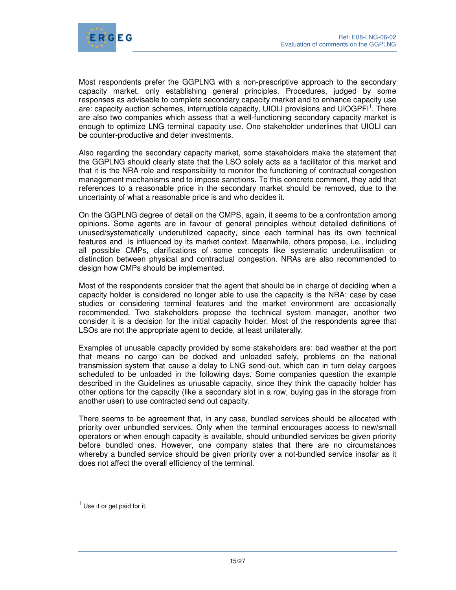

Most respondents prefer the GGPLNG with a non-prescriptive approach to the secondary capacity market, only establishing general principles. Procedures, judged by some responses as advisable to complete secondary capacity market and to enhance capacity use are: capacity auction schemes, interruptible capacity, UIOLI provisions and UIOGPFI<sup>1</sup>. There are also two companies which assess that a well-functioning secondary capacity market is enough to optimize LNG terminal capacity use. One stakeholder underlines that UIOLI can be counter-productive and deter investments.

Also regarding the secondary capacity market, some stakeholders make the statement that the GGPLNG should clearly state that the LSO solely acts as a facilitator of this market and that it is the NRA role and responsibility to monitor the functioning of contractual congestion management mechanisms and to impose sanctions. To this concrete comment, they add that references to a reasonable price in the secondary market should be removed, due to the uncertainty of what a reasonable price is and who decides it.

On the GGPLNG degree of detail on the CMPS, again, it seems to be a confrontation among opinions. Some agents are in favour of general principles without detailed definitions of unused/systematically underutilized capacity, since each terminal has its own technical features and is influenced by its market context. Meanwhile, others propose, i.e., including all possible CMPs, clarifications of some concepts like systematic underutilisation or distinction between physical and contractual congestion. NRAs are also recommended to design how CMPs should be implemented.

Most of the respondents consider that the agent that should be in charge of deciding when a capacity holder is considered no longer able to use the capacity is the NRA; case by case studies or considering terminal features and the market environment are occasionally recommended. Two stakeholders propose the technical system manager, another two consider it is a decision for the initial capacity holder. Most of the respondents agree that LSOs are not the appropriate agent to decide, at least unilaterally.

Examples of unusable capacity provided by some stakeholders are: bad weather at the port that means no cargo can be docked and unloaded safely, problems on the national transmission system that cause a delay to LNG send-out, which can in turn delay cargoes scheduled to be unloaded in the following days. Some companies question the example described in the Guidelines as unusable capacity, since they think the capacity holder has other options for the capacity (like a secondary slot in a row, buying gas in the storage from another user) to use contracted send out capacity.

There seems to be agreement that, in any case, bundled services should be allocated with priority over unbundled services. Only when the terminal encourages access to new/small operators or when enough capacity is available, should unbundled services be given priority before bundled ones. However, one company states that there are no circumstances whereby a bundled service should be given priority over a not-bundled service insofar as it does not affect the overall efficiency of the terminal.

 $\ddot{ }$ 

 $<sup>1</sup>$  Use it or get paid for it.</sup>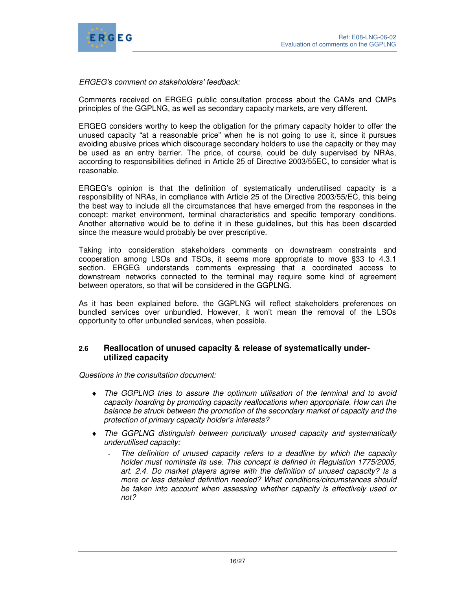

ERGEG's comment on stakeholders' feedback:

Comments received on ERGEG public consultation process about the CAMs and CMPs principles of the GGPLNG, as well as secondary capacity markets, are very different.

ERGEG considers worthy to keep the obligation for the primary capacity holder to offer the unused capacity "at a reasonable price" when he is not going to use it, since it pursues avoiding abusive prices which discourage secondary holders to use the capacity or they may be used as an entry barrier. The price, of course, could be duly supervised by NRAs, according to responsibilities defined in Article 25 of Directive 2003/55EC, to consider what is reasonable.

ERGEG's opinion is that the definition of systematically underutilised capacity is a responsibility of NRAs, in compliance with Article 25 of the Directive 2003/55/EC, this being the best way to include all the circumstances that have emerged from the responses in the concept: market environment, terminal characteristics and specific temporary conditions. Another alternative would be to define it in these guidelines, but this has been discarded since the measure would probably be over prescriptive.

Taking into consideration stakeholders comments on downstream constraints and cooperation among LSOs and TSOs, it seems more appropriate to move §33 to 4.3.1 section. ERGEG understands comments expressing that a coordinated access to downstream networks connected to the terminal may require some kind of agreement between operators, so that will be considered in the GGPLNG.

As it has been explained before, the GGPLNG will reflect stakeholders preferences on bundled services over unbundled. However, it won't mean the removal of the LSOs opportunity to offer unbundled services, when possible.

## **2.6 Reallocation of unused capacity & release of systematically underutilized capacity**

Questions in the consultation document:

- ♦ The GGPLNG tries to assure the optimum utilisation of the terminal and to avoid capacity hoarding by promoting capacity reallocations when appropriate. How can the balance be struck between the promotion of the secondary market of capacity and the protection of primary capacity holder's interests?
- The GGPLNG distinguish between punctually unused capacity and systematically underutilised capacity:
	- The definition of unused capacity refers to a deadline by which the capacity holder must nominate its use. This concept is defined in Regulation 1775/2005, art. 2.4. Do market players agree with the definition of unused capacity? Is a more or less detailed definition needed? What conditions/circumstances should be taken into account when assessing whether capacity is effectively used or not?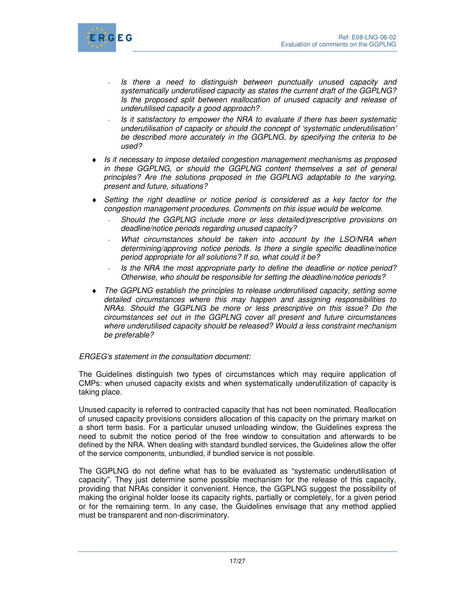

- Is there a need to distinguish between punctually unused capacity and systematically underutilised capacity as states the current draft of the GGPLNG? Is the proposed split between reallocation of unused capacity and release of underutilised capacity a good approach?
- Is it satisfactory to empower the NRA to evaluate if there has been systematic underutilisation of capacity or should the concept of 'systematic underutilisation' be described more accurately in the GGPLNG, by specifying the criteria to be used?
- ♦ Is it necessary to impose detailed congestion management mechanisms as proposed in these GGPLNG, or should the GGPLNG content themselves a set of general principles? Are the solutions proposed in the GGPLNG adaptable to the varying, present and future, situations?
- ♦ Setting the right deadline or notice period is considered as a key factor for the congestion management procedures. Comments on this issue would be welcome.
	- Should the GGPLNG include more or less detailed/prescriptive provisions on deadline/notice periods regarding unused capacity?
	- What circumstances should be taken into account by the LSO/NRA when determining/approving notice periods. Is there a single specific deadline/notice period appropriate for all solutions? If so, what could it be?
	- Is the NRA the most appropriate party to define the deadline or notice period? Otherwise, who should be responsible for setting the deadline/notice periods?
- ♦ The GGPLNG establish the principles to release underutilised capacity, setting some detailed circumstances where this may happen and assigning responsibilities to NRAs. Should the GGPLNG be more or less prescriptive on this issue? Do the circumstances set out in the GGPLNG cover all present and future circumstances where underutilised capacity should be released? Would a less constraint mechanism be preferable?

## ERGEG's statement in the consultation document:

The Guidelines distinguish two types of circumstances which may require application of CMPs: when unused capacity exists and when systematically underutilization of capacity is taking place.

Unused capacity is referred to contracted capacity that has not been nominated. Reallocation of unused capacity provisions considers allocation of this capacity on the primary market on a short term basis. For a particular unused unloading window, the Guidelines express the need to submit the notice period of the free window to consultation and afterwards to be defined by the NRA. When dealing with standard bundled services, the Guidelines allow the offer of the service components, unbundled, if bundled service is not possible.

The GGPLNG do not define what has to be evaluated as "systematic underutilisation of capacity". They just determine some possible mechanism for the release of this capacity, providing that NRAs consider it convenient. Hence, the GGPLNG suggest the possibility of making the original holder loose its capacity rights, partially or completely, for a given period or for the remaining term. In any case, the Guidelines envisage that any method applied must be transparent and non-discriminatory.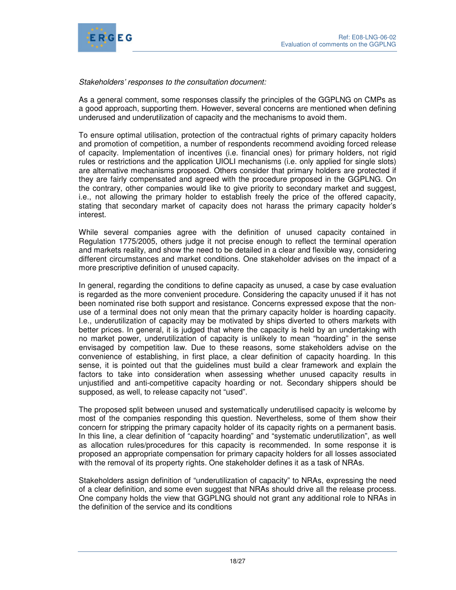

## Stakeholders' responses to the consultation document:

As a general comment, some responses classify the principles of the GGPLNG on CMPs as a good approach, supporting them. However, several concerns are mentioned when defining underused and underutilization of capacity and the mechanisms to avoid them.

To ensure optimal utilisation, protection of the contractual rights of primary capacity holders and promotion of competition, a number of respondents recommend avoiding forced release of capacity. Implementation of incentives (i.e. financial ones) for primary holders, not rigid rules or restrictions and the application UIOLI mechanisms (i.e. only applied for single slots) are alternative mechanisms proposed. Others consider that primary holders are protected if they are fairly compensated and agreed with the procedure proposed in the GGPLNG. On the contrary, other companies would like to give priority to secondary market and suggest, i.e., not allowing the primary holder to establish freely the price of the offered capacity, stating that secondary market of capacity does not harass the primary capacity holder's interest.

While several companies agree with the definition of unused capacity contained in Regulation 1775/2005, others judge it not precise enough to reflect the terminal operation and markets reality, and show the need to be detailed in a clear and flexible way, considering different circumstances and market conditions. One stakeholder advises on the impact of a more prescriptive definition of unused capacity.

In general, regarding the conditions to define capacity as unused, a case by case evaluation is regarded as the more convenient procedure. Considering the capacity unused if it has not been nominated rise both support and resistance. Concerns expressed expose that the nonuse of a terminal does not only mean that the primary capacity holder is hoarding capacity. I.e., underutilization of capacity may be motivated by ships diverted to others markets with better prices. In general, it is judged that where the capacity is held by an undertaking with no market power, underutilization of capacity is unlikely to mean "hoarding" in the sense envisaged by competition law. Due to these reasons, some stakeholders advise on the convenience of establishing, in first place, a clear definition of capacity hoarding. In this sense, it is pointed out that the guidelines must build a clear framework and explain the factors to take into consideration when assessing whether unused capacity results in unjustified and anti-competitive capacity hoarding or not. Secondary shippers should be supposed, as well, to release capacity not "used".

The proposed split between unused and systematically underutilised capacity is welcome by most of the companies responding this question. Nevertheless, some of them show their concern for stripping the primary capacity holder of its capacity rights on a permanent basis. In this line, a clear definition of "capacity hoarding" and "systematic underutilization", as well as allocation rules/procedures for this capacity is recommended. In some response it is proposed an appropriate compensation for primary capacity holders for all losses associated with the removal of its property rights. One stakeholder defines it as a task of NRAs.

Stakeholders assign definition of "underutilization of capacity" to NRAs, expressing the need of a clear definition, and some even suggest that NRAs should drive all the release process. One company holds the view that GGPLNG should not grant any additional role to NRAs in the definition of the service and its conditions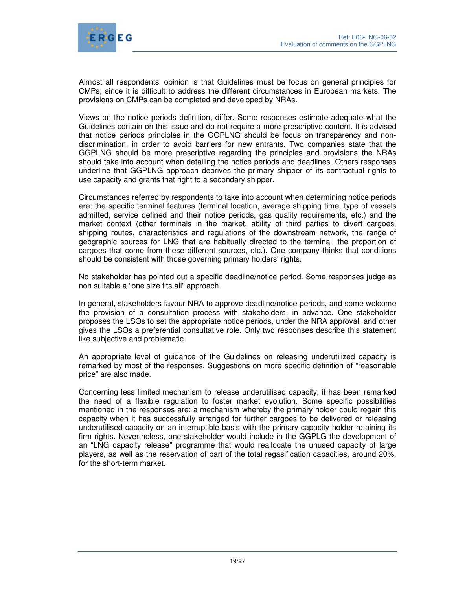

Almost all respondents' opinion is that Guidelines must be focus on general principles for CMPs, since it is difficult to address the different circumstances in European markets. The provisions on CMPs can be completed and developed by NRAs.

Views on the notice periods definition, differ. Some responses estimate adequate what the Guidelines contain on this issue and do not require a more prescriptive content. It is advised that notice periods principles in the GGPLNG should be focus on transparency and nondiscrimination, in order to avoid barriers for new entrants. Two companies state that the GGPLNG should be more prescriptive regarding the principles and provisions the NRAs should take into account when detailing the notice periods and deadlines. Others responses underline that GGPLNG approach deprives the primary shipper of its contractual rights to use capacity and grants that right to a secondary shipper.

Circumstances referred by respondents to take into account when determining notice periods are: the specific terminal features (terminal location, average shipping time, type of vessels admitted, service defined and their notice periods, gas quality requirements, etc.) and the market context (other terminals in the market, ability of third parties to divert cargoes, shipping routes, characteristics and regulations of the downstream network, the range of geographic sources for LNG that are habitually directed to the terminal, the proportion of cargoes that come from these different sources, etc.). One company thinks that conditions should be consistent with those governing primary holders' rights.

No stakeholder has pointed out a specific deadline/notice period. Some responses judge as non suitable a "one size fits all" approach.

In general, stakeholders favour NRA to approve deadline/notice periods, and some welcome the provision of a consultation process with stakeholders, in advance. One stakeholder proposes the LSOs to set the appropriate notice periods, under the NRA approval, and other gives the LSOs a preferential consultative role. Only two responses describe this statement like subjective and problematic.

An appropriate level of guidance of the Guidelines on releasing underutilized capacity is remarked by most of the responses. Suggestions on more specific definition of "reasonable price" are also made.

Concerning less limited mechanism to release underutilised capacity, it has been remarked the need of a flexible regulation to foster market evolution. Some specific possibilities mentioned in the responses are: a mechanism whereby the primary holder could regain this capacity when it has successfully arranged for further cargoes to be delivered or releasing underutilised capacity on an interruptible basis with the primary capacity holder retaining its firm rights. Nevertheless, one stakeholder would include in the GGPLG the development of an "LNG capacity release" programme that would reallocate the unused capacity of large players, as well as the reservation of part of the total regasification capacities, around 20%, for the short-term market.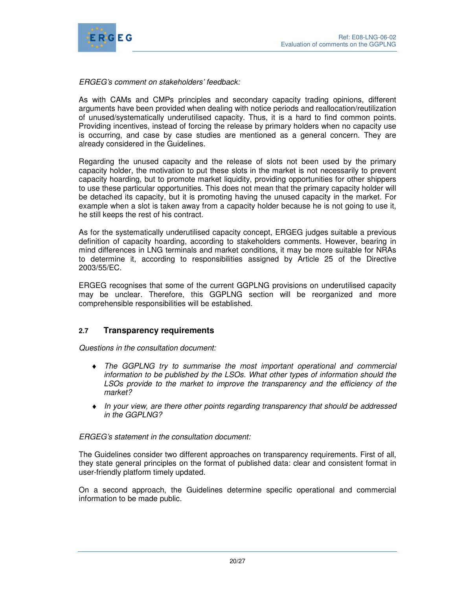

## ERGEG's comment on stakeholders' feedback:

As with CAMs and CMPs principles and secondary capacity trading opinions, different arguments have been provided when dealing with notice periods and reallocation/reutilization of unused/systematically underutilised capacity. Thus, it is a hard to find common points. Providing incentives, instead of forcing the release by primary holders when no capacity use is occurring, and case by case studies are mentioned as a general concern. They are already considered in the Guidelines.

Regarding the unused capacity and the release of slots not been used by the primary capacity holder, the motivation to put these slots in the market is not necessarily to prevent capacity hoarding, but to promote market liquidity, providing opportunities for other shippers to use these particular opportunities. This does not mean that the primary capacity holder will be detached its capacity, but it is promoting having the unused capacity in the market. For example when a slot is taken away from a capacity holder because he is not going to use it, he still keeps the rest of his contract.

As for the systematically underutilised capacity concept, ERGEG judges suitable a previous definition of capacity hoarding, according to stakeholders comments. However, bearing in mind differences in LNG terminals and market conditions, it may be more suitable for NRAs to determine it, according to responsibilities assigned by Article 25 of the Directive 2003/55/EC.

ERGEG recognises that some of the current GGPLNG provisions on underutilised capacity may be unclear. Therefore, this GGPLNG section will be reorganized and more comprehensible responsibilities will be established.

# **2.7 Transparency requirements**

Questions in the consultation document:

- ♦ The GGPLNG try to summarise the most important operational and commercial information to be published by the LSOs. What other types of information should the LSOs provide to the market to improve the transparency and the efficiency of the market?
- ♦ In your view, are there other points regarding transparency that should be addressed in the GGPLNG?

## ERGEG's statement in the consultation document:

The Guidelines consider two different approaches on transparency requirements. First of all, they state general principles on the format of published data: clear and consistent format in user-friendly platform timely updated.

On a second approach, the Guidelines determine specific operational and commercial information to be made public.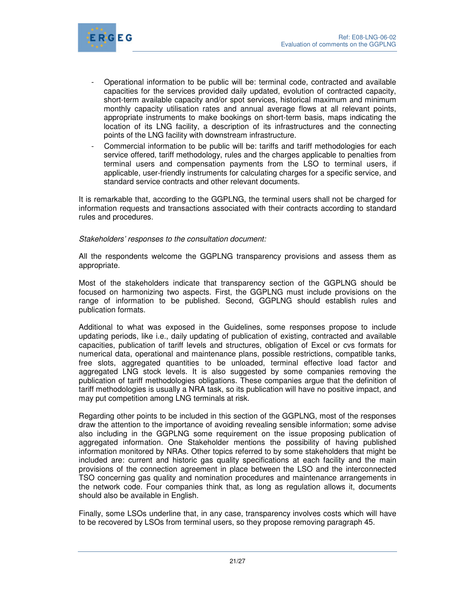

- Operational information to be public will be: terminal code, contracted and available capacities for the services provided daily updated, evolution of contracted capacity, short-term available capacity and/or spot services, historical maximum and minimum monthly capacity utilisation rates and annual average flows at all relevant points, appropriate instruments to make bookings on short-term basis, maps indicating the location of its LNG facility, a description of its infrastructures and the connecting points of the LNG facility with downstream infrastructure.
- Commercial information to be public will be: tariffs and tariff methodologies for each service offered, tariff methodology, rules and the charges applicable to penalties from terminal users and compensation payments from the LSO to terminal users, if applicable, user-friendly instruments for calculating charges for a specific service, and standard service contracts and other relevant documents.

It is remarkable that, according to the GGPLNG, the terminal users shall not be charged for information requests and transactions associated with their contracts according to standard rules and procedures.

Stakeholders' responses to the consultation document:

All the respondents welcome the GGPLNG transparency provisions and assess them as appropriate.

Most of the stakeholders indicate that transparency section of the GGPLNG should be focused on harmonizing two aspects. First, the GGPLNG must include provisions on the range of information to be published. Second, GGPLNG should establish rules and publication formats.

Additional to what was exposed in the Guidelines, some responses propose to include updating periods, like i.e., daily updating of publication of existing, contracted and available capacities, publication of tariff levels and structures, obligation of Excel or cvs formats for numerical data, operational and maintenance plans, possible restrictions, compatible tanks, free slots, aggregated quantities to be unloaded, terminal effective load factor and aggregated LNG stock levels. It is also suggested by some companies removing the publication of tariff methodologies obligations. These companies argue that the definition of tariff methodologies is usually a NRA task, so its publication will have no positive impact, and may put competition among LNG terminals at risk.

Regarding other points to be included in this section of the GGPLNG, most of the responses draw the attention to the importance of avoiding revealing sensible information; some advise also including in the GGPLNG some requirement on the issue proposing publication of aggregated information. One Stakeholder mentions the possibility of having published information monitored by NRAs. Other topics referred to by some stakeholders that might be included are: current and historic gas quality specifications at each facility and the main provisions of the connection agreement in place between the LSO and the interconnected TSO concerning gas quality and nomination procedures and maintenance arrangements in the network code. Four companies think that, as long as regulation allows it, documents should also be available in English.

Finally, some LSOs underline that, in any case, transparency involves costs which will have to be recovered by LSOs from terminal users, so they propose removing paragraph 45.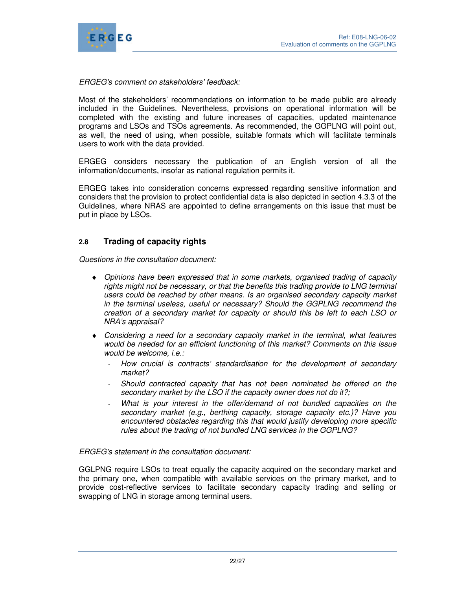

ERGEG's comment on stakeholders' feedback:

Most of the stakeholders' recommendations on information to be made public are already included in the Guidelines. Nevertheless, provisions on operational information will be completed with the existing and future increases of capacities, updated maintenance programs and LSOs and TSOs agreements. As recommended, the GGPLNG will point out, as well, the need of using, when possible, suitable formats which will facilitate terminals users to work with the data provided.

ERGEG considers necessary the publication of an English version of all the information/documents, insofar as national regulation permits it.

ERGEG takes into consideration concerns expressed regarding sensitive information and considers that the provision to protect confidential data is also depicted in section 4.3.3 of the Guidelines, where NRAS are appointed to define arrangements on this issue that must be put in place by LSOs.

# **2.8 Trading of capacity rights**

Questions in the consultation document:

- ♦ Opinions have been expressed that in some markets, organised trading of capacity rights might not be necessary, or that the benefits this trading provide to LNG terminal users could be reached by other means. Is an organised secondary capacity market in the terminal useless, useful or necessary? Should the GGPLNG recommend the creation of a secondary market for capacity or should this be left to each LSO or NRA's appraisal?
- ♦ Considering a need for a secondary capacity market in the terminal, what features would be needed for an efficient functioning of this market? Comments on this issue would be welcome, i.e.:
	- How crucial is contracts' standardisation for the development of secondary market?
	- Should contracted capacity that has not been nominated be offered on the secondary market by the LSO if the capacity owner does not do it?;
	- What is your interest in the offer/demand of not bundled capacities on the secondary market (e.g., berthing capacity, storage capacity etc.)? Have you encountered obstacles regarding this that would justify developing more specific rules about the trading of not bundled LNG services in the GGPLNG?

ERGEG's statement in the consultation document:

GGLPNG require LSOs to treat equally the capacity acquired on the secondary market and the primary one, when compatible with available services on the primary market, and to provide cost-reflective services to facilitate secondary capacity trading and selling or swapping of LNG in storage among terminal users.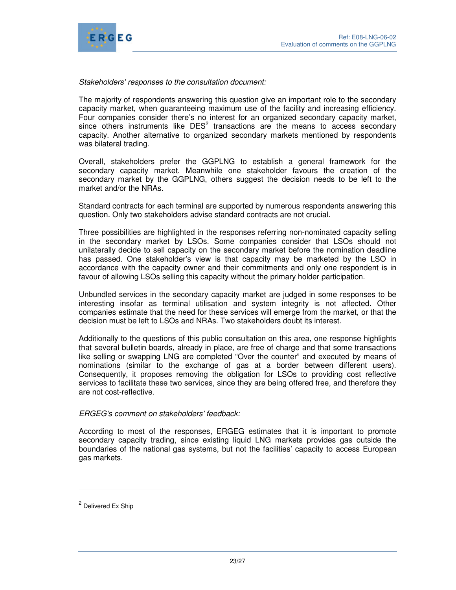

### Stakeholders' responses to the consultation document:

The majority of respondents answering this question give an important role to the secondary capacity market, when guaranteeing maximum use of the facility and increasing efficiency. Four companies consider there's no interest for an organized secondary capacity market, since others instruments like  $DES<sup>2</sup>$  transactions are the means to access secondary capacity. Another alternative to organized secondary markets mentioned by respondents was bilateral trading.

Overall, stakeholders prefer the GGPLNG to establish a general framework for the secondary capacity market. Meanwhile one stakeholder favours the creation of the secondary market by the GGPLNG, others suggest the decision needs to be left to the market and/or the NRAs.

Standard contracts for each terminal are supported by numerous respondents answering this question. Only two stakeholders advise standard contracts are not crucial.

Three possibilities are highlighted in the responses referring non-nominated capacity selling in the secondary market by LSOs. Some companies consider that LSOs should not unilaterally decide to sell capacity on the secondary market before the nomination deadline has passed. One stakeholder's view is that capacity may be marketed by the LSO in accordance with the capacity owner and their commitments and only one respondent is in favour of allowing LSOs selling this capacity without the primary holder participation.

Unbundled services in the secondary capacity market are judged in some responses to be interesting insofar as terminal utilisation and system integrity is not affected. Other companies estimate that the need for these services will emerge from the market, or that the decision must be left to LSOs and NRAs. Two stakeholders doubt its interest.

Additionally to the questions of this public consultation on this area, one response highlights that several bulletin boards, already in place, are free of charge and that some transactions like selling or swapping LNG are completed "Over the counter" and executed by means of nominations (similar to the exchange of gas at a border between different users). Consequently, it proposes removing the obligation for LSOs to providing cost reflective services to facilitate these two services, since they are being offered free, and therefore they are not cost-reflective.

#### ERGEG's comment on stakeholders' feedback:

According to most of the responses, ERGEG estimates that it is important to promote secondary capacity trading, since existing liquid LNG markets provides gas outside the boundaries of the national gas systems, but not the facilities' capacity to access European gas markets.

 $\ddot{ }$ 

<sup>&</sup>lt;sup>2</sup> Delivered Ex Ship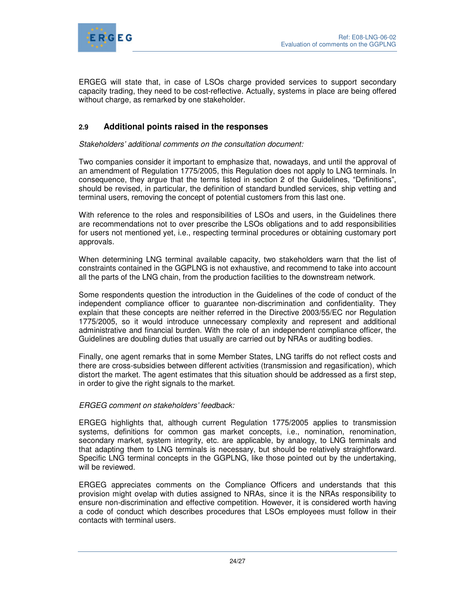

ERGEG will state that, in case of LSOs charge provided services to support secondary capacity trading, they need to be cost-reflective. Actually, systems in place are being offered without charge, as remarked by one stakeholder.

# **2.9 Additional points raised in the responses**

Stakeholders' additional comments on the consultation document:

Two companies consider it important to emphasize that, nowadays, and until the approval of an amendment of Regulation 1775/2005, this Regulation does not apply to LNG terminals. In consequence, they argue that the terms listed in section 2 of the Guidelines, "Definitions", should be revised, in particular, the definition of standard bundled services, ship vetting and terminal users, removing the concept of potential customers from this last one.

With reference to the roles and responsibilities of LSOs and users, in the Guidelines there are recommendations not to over prescribe the LSOs obligations and to add responsibilities for users not mentioned yet, i.e., respecting terminal procedures or obtaining customary port approvals.

When determining LNG terminal available capacity, two stakeholders warn that the list of constraints contained in the GGPLNG is not exhaustive, and recommend to take into account all the parts of the LNG chain, from the production facilities to the downstream network.

Some respondents question the introduction in the Guidelines of the code of conduct of the independent compliance officer to guarantee non-discrimination and confidentiality. They explain that these concepts are neither referred in the Directive 2003/55/EC nor Regulation 1775/2005, so it would introduce unnecessary complexity and represent and additional administrative and financial burden. With the role of an independent compliance officer, the Guidelines are doubling duties that usually are carried out by NRAs or auditing bodies.

Finally, one agent remarks that in some Member States, LNG tariffs do not reflect costs and there are cross-subsidies between different activities (transmission and regasification), which distort the market. The agent estimates that this situation should be addressed as a first step, in order to give the right signals to the market.

## ERGEG comment on stakeholders' feedback:

ERGEG highlights that, although current Regulation 1775/2005 applies to transmission systems, definitions for common gas market concepts, i.e., nomination, renomination, secondary market, system integrity, etc. are applicable, by analogy, to LNG terminals and that adapting them to LNG terminals is necessary, but should be relatively straightforward. Specific LNG terminal concepts in the GGPLNG, like those pointed out by the undertaking, will be reviewed.

ERGEG appreciates comments on the Compliance Officers and understands that this provision might ovelap with duties assigned to NRAs, since it is the NRAs responsibility to ensure non-discrimination and effective competition. However, it is considered worth having a code of conduct which describes procedures that LSOs employees must follow in their contacts with terminal users.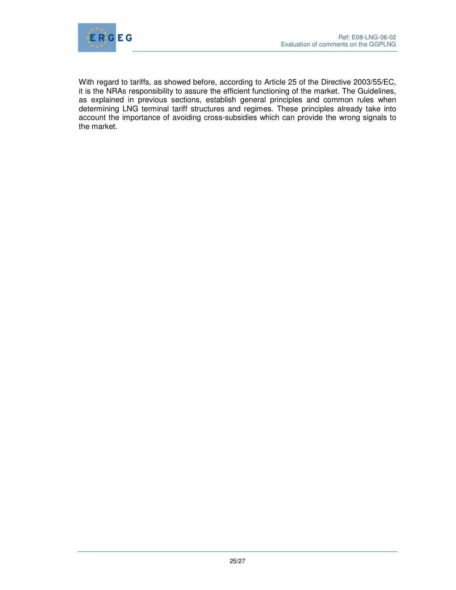

With regard to tariffs, as showed before, according to Article 25 of the Directive 2003/55/EC, it is the NRAs responsibility to assure the efficient functioning of the market. The Guidelines, as explained in previous sections, establish general principles and common rules when determining LNG terminal tariff structures and regimes. These principles already take into account the importance of avoiding cross-subsidies which can provide the wrong signals to the market.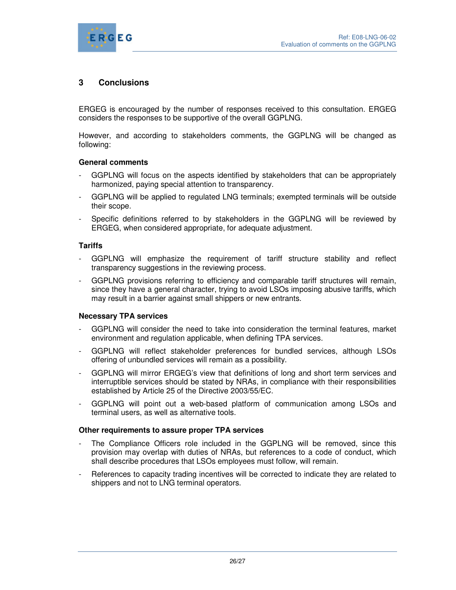

# **3 Conclusions**

ERGEG is encouraged by the number of responses received to this consultation. ERGEG considers the responses to be supportive of the overall GGPLNG.

However, and according to stakeholders comments, the GGPLNG will be changed as following:

#### **General comments**

- GGPLNG will focus on the aspects identified by stakeholders that can be appropriately harmonized, paying special attention to transparency.
- GGPLNG will be applied to regulated LNG terminals; exempted terminals will be outside their scope.
- Specific definitions referred to by stakeholders in the GGPLNG will be reviewed by ERGEG, when considered appropriate, for adequate adjustment.

#### **Tariffs**

- GGPLNG will emphasize the requirement of tariff structure stability and reflect transparency suggestions in the reviewing process.
- GGPLNG provisions referring to efficiency and comparable tariff structures will remain, since they have a general character, trying to avoid LSOs imposing abusive tariffs, which may result in a barrier against small shippers or new entrants.

#### **Necessary TPA services**

- GGPLNG will consider the need to take into consideration the terminal features, market environment and regulation applicable, when defining TPA services.
- GGPLNG will reflect stakeholder preferences for bundled services, although LSOs offering of unbundled services will remain as a possibility.
- GGPLNG will mirror ERGEG's view that definitions of long and short term services and interruptible services should be stated by NRAs, in compliance with their responsibilities established by Article 25 of the Directive 2003/55/EC.
- GGPLNG will point out a web-based platform of communication among LSOs and terminal users, as well as alternative tools.

#### **Other requirements to assure proper TPA services**

- The Compliance Officers role included in the GGPLNG will be removed, since this provision may overlap with duties of NRAs, but references to a code of conduct, which shall describe procedures that LSOs employees must follow, will remain.
- References to capacity trading incentives will be corrected to indicate they are related to shippers and not to LNG terminal operators.